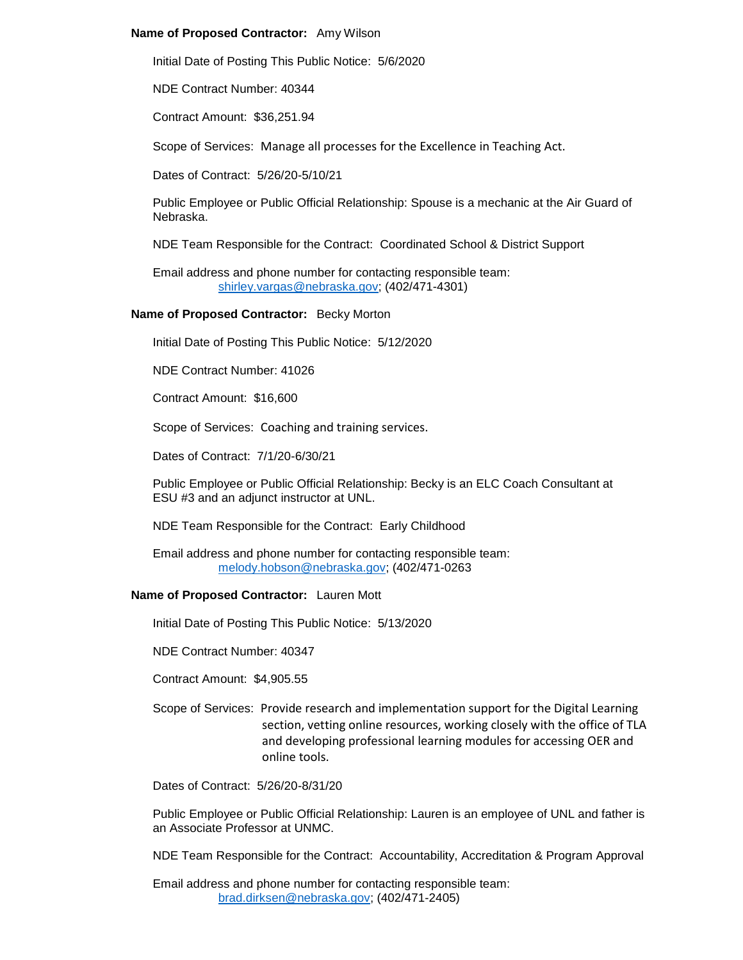## **Name of Proposed Contractor:** Amy Wilson

Initial Date of Posting This Public Notice: 5/6/2020

NDE Contract Number: 40344

Contract Amount: \$36,251.94

Scope of Services: Manage all processes for the Excellence in Teaching Act.

Dates of Contract: 5/26/20-5/10/21

Public Employee or Public Official Relationship: Spouse is a mechanic at the Air Guard of Nebraska.

NDE Team Responsible for the Contract: Coordinated School & District Support

Email address and phone number for contacting responsible team: [shirley.vargas@nebraska.gov;](mailto:shirley.vargas@nebraska.gov) (402/471-4301)

### **Name of Proposed Contractor:** Becky Morton

Initial Date of Posting This Public Notice: 5/12/2020

NDE Contract Number: 41026

Contract Amount: \$16,600

Scope of Services: Coaching and training services.

Dates of Contract: 7/1/20-6/30/21

Public Employee or Public Official Relationship: Becky is an ELC Coach Consultant at ESU #3 and an adjunct instructor at UNL.

NDE Team Responsible for the Contract: Early Childhood

Email address and phone number for contacting responsible team: [melody.hobson@nebraska.gov;](mailto:melody.hobson@nebraska.gov) (402/471-0263

#### **Name of Proposed Contractor:** Lauren Mott

Initial Date of Posting This Public Notice: 5/13/2020

NDE Contract Number: 40347

Contract Amount: \$4,905.55

Scope of Services: Provide research and implementation support for the Digital Learning section, vetting online resources, working closely with the office of TLA and developing professional learning modules for accessing OER and online tools.

Dates of Contract: 5/26/20-8/31/20

Public Employee or Public Official Relationship: Lauren is an employee of UNL and father is an Associate Professor at UNMC.

NDE Team Responsible for the Contract: Accountability, Accreditation & Program Approval

Email address and phone number for contacting responsible team: [brad.dirksen@nebraska.gov;](mailto:brad.dirksen@nebraska.gov) (402/471-2405)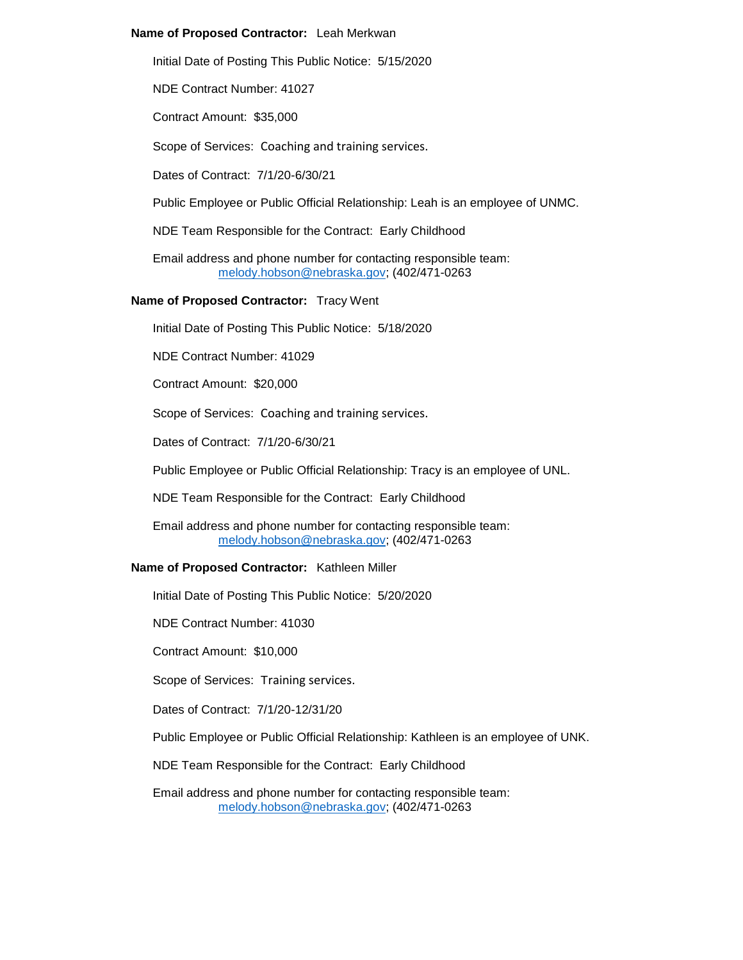## **Name of Proposed Contractor:** Leah Merkwan

Initial Date of Posting This Public Notice: 5/15/2020

NDE Contract Number: 41027

Contract Amount: \$35,000

Scope of Services: Coaching and training services.

Dates of Contract: 7/1/20-6/30/21

Public Employee or Public Official Relationship: Leah is an employee of UNMC.

NDE Team Responsible for the Contract: Early Childhood

Email address and phone number for contacting responsible team: [melody.hobson@nebraska.gov;](mailto:melody.hobson@nebraska.gov) (402/471-0263

### **Name of Proposed Contractor:** Tracy Went

Initial Date of Posting This Public Notice: 5/18/2020

NDE Contract Number: 41029

Contract Amount: \$20,000

Scope of Services: Coaching and training services.

Dates of Contract: 7/1/20-6/30/21

Public Employee or Public Official Relationship: Tracy is an employee of UNL.

NDE Team Responsible for the Contract: Early Childhood

Email address and phone number for contacting responsible team: [melody.hobson@nebraska.gov;](mailto:melody.hobson@nebraska.gov) (402/471-0263

#### **Name of Proposed Contractor:** Kathleen Miller

Initial Date of Posting This Public Notice: 5/20/2020

NDE Contract Number: 41030

Contract Amount: \$10,000

Scope of Services: Training services.

Dates of Contract: 7/1/20-12/31/20

Public Employee or Public Official Relationship: Kathleen is an employee of UNK.

NDE Team Responsible for the Contract: Early Childhood

Email address and phone number for contacting responsible team: [melody.hobson@nebraska.gov;](mailto:melody.hobson@nebraska.gov) (402/471-0263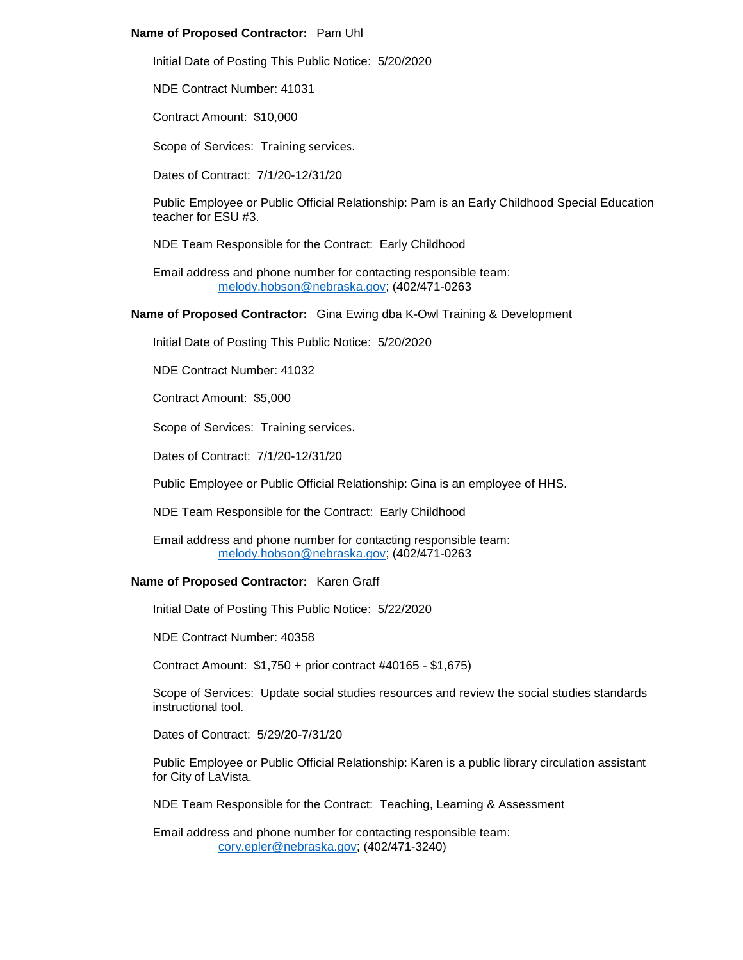# **Name of Proposed Contractor:** Pam Uhl

Initial Date of Posting This Public Notice: 5/20/2020

NDE Contract Number: 41031

Contract Amount: \$10,000

Scope of Services: Training services.

Dates of Contract: 7/1/20-12/31/20

Public Employee or Public Official Relationship: Pam is an Early Childhood Special Education teacher for ESU #3.

NDE Team Responsible for the Contract: Early Childhood

Email address and phone number for contacting responsible team: [melody.hobson@nebraska.gov;](mailto:melody.hobson@nebraska.gov) (402/471-0263

**Name of Proposed Contractor:** Gina Ewing dba K-Owl Training & Development

Initial Date of Posting This Public Notice: 5/20/2020

NDE Contract Number: 41032

Contract Amount: \$5,000

Scope of Services: Training services.

Dates of Contract: 7/1/20-12/31/20

Public Employee or Public Official Relationship: Gina is an employee of HHS.

NDE Team Responsible for the Contract: Early Childhood

Email address and phone number for contacting responsible team: [melody.hobson@nebraska.gov;](mailto:melody.hobson@nebraska.gov) (402/471-0263

#### **Name of Proposed Contractor:** Karen Graff

Initial Date of Posting This Public Notice: 5/22/2020

NDE Contract Number: 40358

Contract Amount: \$1,750 + prior contract #40165 - \$1,675)

Scope of Services: Update social studies resources and review the social studies standards instructional tool.

Dates of Contract: 5/29/20-7/31/20

Public Employee or Public Official Relationship: Karen is a public library circulation assistant for City of LaVista.

NDE Team Responsible for the Contract: Teaching, Learning & Assessment

Email address and phone number for contacting responsible team: [cory.epler@nebraska.gov;](mailto:cory.epler@nebraska.gov) (402/471-3240)